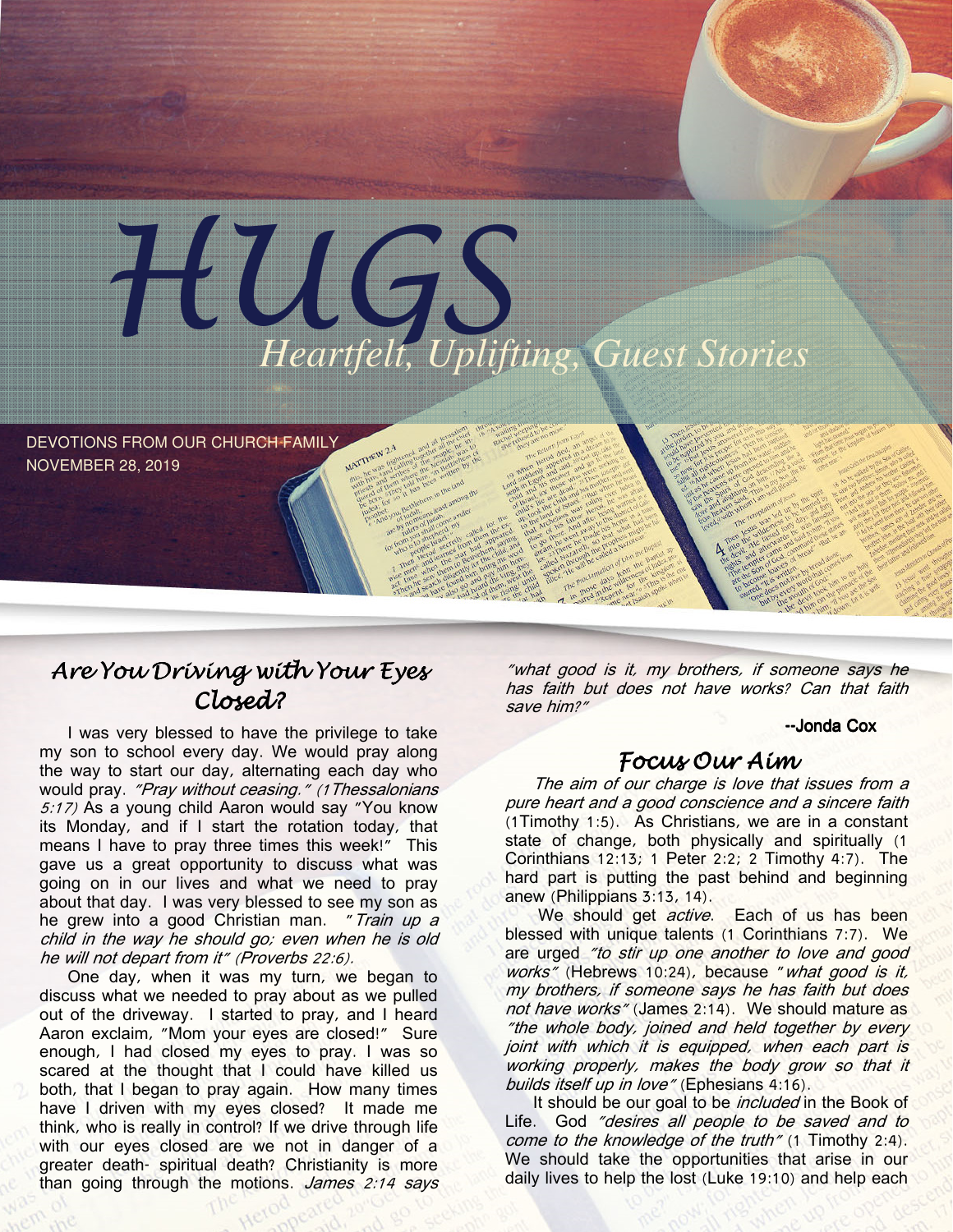

DEVOTIONS FROM OUR CHURCH FAMILY NOVEMBER 28, 2019

# Are You Driving with Your Eyes Closed?

I was very blessed to have the privilege to take my son to school every day. We would pray along the way to start our day, alternating each day who would pray. "Pray without ceasing." (1 Thessalonians 5:17) As a young child Aaron would say "You know its Monday, and if I start the rotation today, that means I have to pray three times this week!" This gave us a great opportunity to discuss what was going on in our lives and what we need to pray about that day. I was very blessed to see my son as he grew into a good Christian man. "Train up a child in the way he should go; even when he is old he will not depart from it" (Proverbs 22:6).

One day, when it was my turn, we began to discuss what we needed to pray about as we pulled out of the driveway. I started to pray, and I heard Aaron exclaim, "Mom your eyes are closed!" Sure enough, I had closed my eyes to pray. I was so scared at the thought that I could have killed us both, that I began to pray again. How many times have I driven with my eyes closed? It made me think, who is really in control? If we drive through life with our eyes closed are we not in danger of a greater death- spiritual death? Christianity is more than going through the motions. James 2:14 says

"what good is it, my brothers, if someone says he has faith but does not have works? Can that faith save him?"

-- Jonda Cox

### Focus Our Aim

The aim of our charge is love that issues from a pure heart and a good conscience and a sincere faith (1Timothy 1:5). As Christians, we are in a constant state of change, both physically and spiritually (1 Corinthians 12:13; 1 Peter 2:2; 2 Timothy 4:7). The hard part is putting the past behind and beginning anew (Philippians 3:13, 14).

We should get *active*. Each of us has been blessed with unique talents (1 Corinthians 7:7). We are urged "to stir up one another to love and good works" (Hebrews 10:24), because "what good is it, my brothers, if someone says he has faith but does not have works" (James 2:14). We should mature as "the whole body, joined and held together by every joint with which it is equipped, when each part is working properly, makes the body grow so that it builds itself up in love" (Ephesians 4:16).

It should be our goal to be *included* in the Book of Life. God "desires all people to be saved and to come to the knowledge of the truth" (1 Timothy 2:4). We should take the opportunities that arise in our daily lives to help the lost (Luke 19:10) and help each